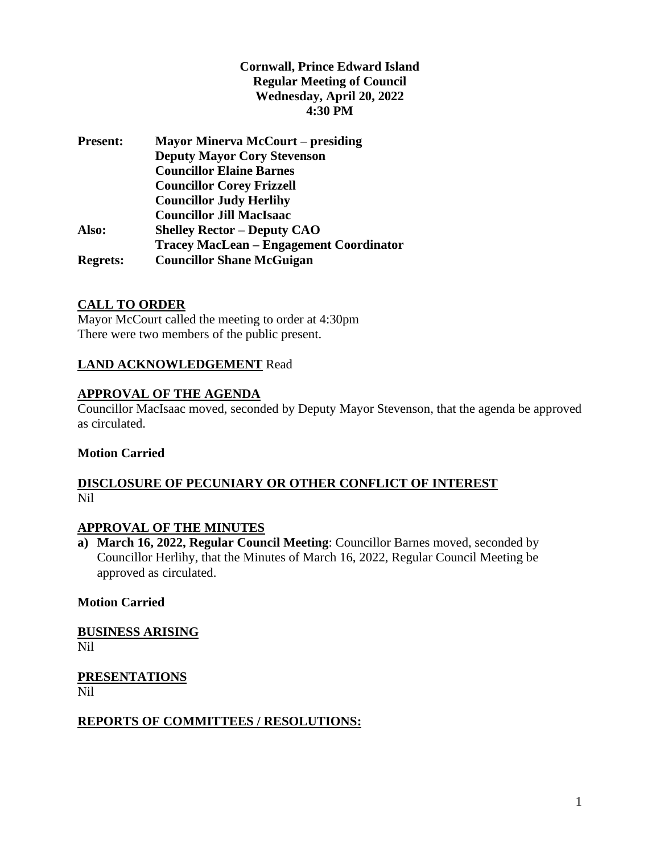# **Cornwall, Prince Edward Island Regular Meeting of Council Wednesday, April 20, 2022 4:30 PM**

| <b>Present:</b> | <b>Mayor Minerva McCourt – presiding</b>       |
|-----------------|------------------------------------------------|
|                 | <b>Deputy Mayor Cory Stevenson</b>             |
|                 | <b>Councillor Elaine Barnes</b>                |
|                 | <b>Councillor Corey Frizzell</b>               |
|                 | <b>Councillor Judy Herlihy</b>                 |
|                 | <b>Councillor Jill MacIsaac</b>                |
| Also:           | <b>Shelley Rector – Deputy CAO</b>             |
|                 | <b>Tracey MacLean - Engagement Coordinator</b> |
| <b>Regrets:</b> | <b>Councillor Shane McGuigan</b>               |
|                 |                                                |

### **CALL TO ORDER**

Mayor McCourt called the meeting to order at 4:30pm There were two members of the public present.

### **LAND ACKNOWLEDGEMENT** Read

#### **APPROVAL OF THE AGENDA**

Councillor MacIsaac moved, seconded by Deputy Mayor Stevenson, that the agenda be approved as circulated.

#### **Motion Carried**

### **DISCLOSURE OF PECUNIARY OR OTHER CONFLICT OF INTEREST** Nil

# **APPROVAL OF THE MINUTES**

**a) March 16, 2022, Regular Council Meeting**: Councillor Barnes moved, seconded by Councillor Herlihy, that the Minutes of March 16, 2022, Regular Council Meeting be approved as circulated.

#### **Motion Carried**

**BUSINESS ARISING** Nil

**PRESENTATIONS** Nil

#### **REPORTS OF COMMITTEES / RESOLUTIONS:**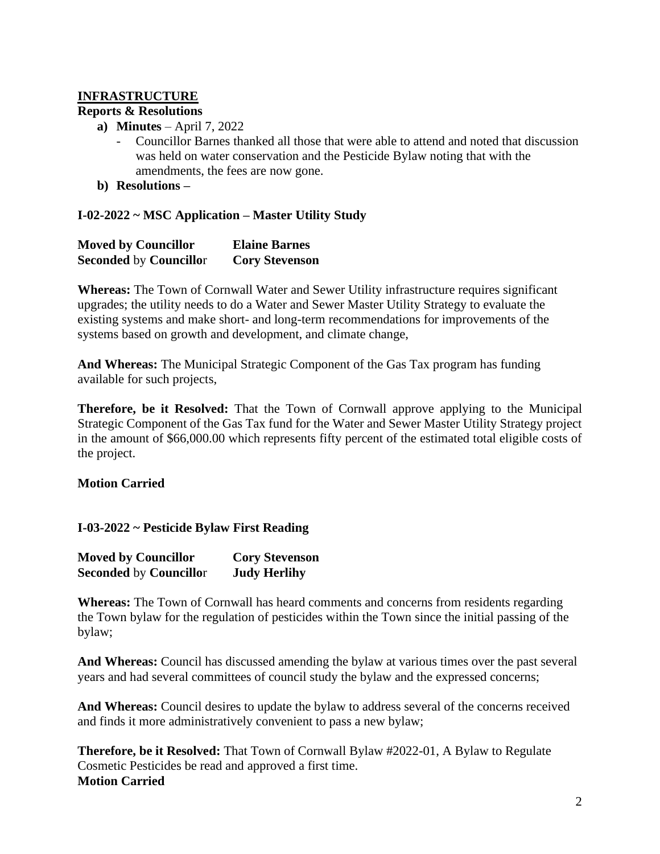# **INFRASTRUCTURE**

# **Reports & Resolutions**

- **a) Minutes** April 7, 2022
	- Councillor Barnes thanked all those that were able to attend and noted that discussion was held on water conservation and the Pesticide Bylaw noting that with the amendments, the fees are now gone.
- **b) Resolutions –**

# **I-02-2022 ~ MSC Application – Master Utility Study**

| <b>Moved by Councillor</b>    | <b>Elaine Barnes</b>  |
|-------------------------------|-----------------------|
| <b>Seconded by Councillor</b> | <b>Cory Stevenson</b> |

**Whereas:** The Town of Cornwall Water and Sewer Utility infrastructure requires significant upgrades; the utility needs to do a Water and Sewer Master Utility Strategy to evaluate the existing systems and make short- and long-term recommendations for improvements of the systems based on growth and development, and climate change,

**And Whereas:** The Municipal Strategic Component of the Gas Tax program has funding available for such projects,

**Therefore, be it Resolved:** That the Town of Cornwall approve applying to the Municipal Strategic Component of the Gas Tax fund for the Water and Sewer Master Utility Strategy project in the amount of \$66,000.00 which represents fifty percent of the estimated total eligible costs of the project.

# **Motion Carried**

# **I-03-2022 ~ Pesticide Bylaw First Reading**

| <b>Moved by Councillor</b>    | <b>Cory Stevenson</b> |
|-------------------------------|-----------------------|
| <b>Seconded by Councillor</b> | <b>Judy Herlihy</b>   |

**Whereas:** The Town of Cornwall has heard comments and concerns from residents regarding the Town bylaw for the regulation of pesticides within the Town since the initial passing of the bylaw;

**And Whereas:** Council has discussed amending the bylaw at various times over the past several years and had several committees of council study the bylaw and the expressed concerns;

**And Whereas:** Council desires to update the bylaw to address several of the concerns received and finds it more administratively convenient to pass a new bylaw;

**Therefore, be it Resolved:** That Town of Cornwall Bylaw #2022-01, A Bylaw to Regulate Cosmetic Pesticides be read and approved a first time. **Motion Carried**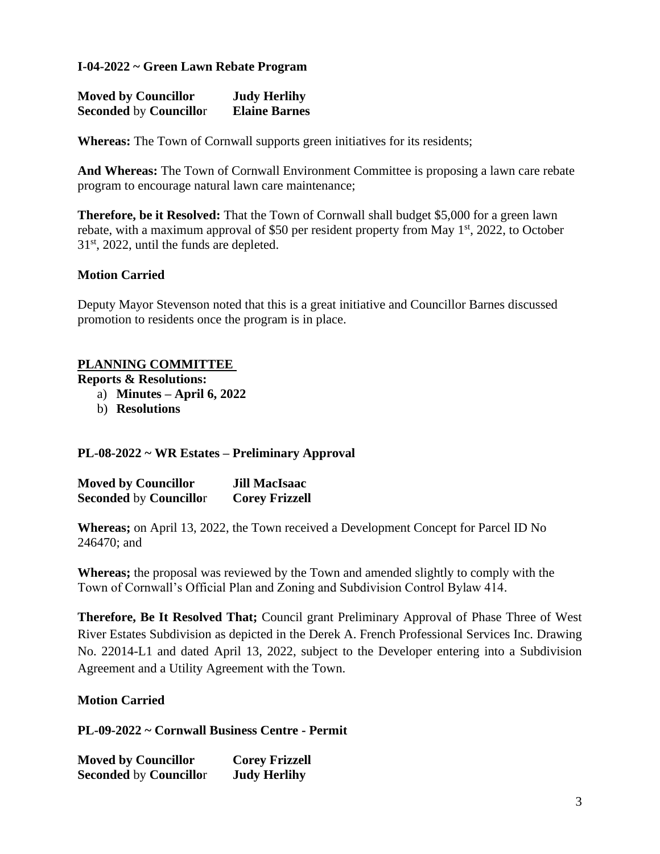### **I-04-2022 ~ Green Lawn Rebate Program**

| <b>Moved by Councillor</b>    | <b>Judy Herlihy</b>  |
|-------------------------------|----------------------|
| <b>Seconded by Councillor</b> | <b>Elaine Barnes</b> |

**Whereas:** The Town of Cornwall supports green initiatives for its residents;

**And Whereas:** The Town of Cornwall Environment Committee is proposing a lawn care rebate program to encourage natural lawn care maintenance;

**Therefore, be it Resolved:** That the Town of Cornwall shall budget \$5,000 for a green lawn rebate, with a maximum approval of \$50 per resident property from May  $1<sup>st</sup>$ , 2022, to October 31<sup>st</sup>, 2022, until the funds are depleted.

### **Motion Carried**

Deputy Mayor Stevenson noted that this is a great initiative and Councillor Barnes discussed promotion to residents once the program is in place.

#### **PLANNING COMMITTEE**

**Reports & Resolutions:**

- a) **Minutes – April 6, 2022**
- b) **Resolutions**

#### **PL-08-2022 ~ WR Estates – Preliminary Approval**

| <b>Moved by Councillor</b>    | <b>Jill MacIsaac</b>  |
|-------------------------------|-----------------------|
| <b>Seconded by Councillor</b> | <b>Corey Frizzell</b> |

**Whereas;** on April 13, 2022, the Town received a Development Concept for Parcel ID No 246470; and

**Whereas;** the proposal was reviewed by the Town and amended slightly to comply with the Town of Cornwall's Official Plan and Zoning and Subdivision Control Bylaw 414.

**Therefore, Be It Resolved That;** Council grant Preliminary Approval of Phase Three of West River Estates Subdivision as depicted in the Derek A. French Professional Services Inc. Drawing No. 22014-L1 and dated April 13, 2022, subject to the Developer entering into a Subdivision Agreement and a Utility Agreement with the Town.

#### **Motion Carried**

**PL-09-2022 ~ Cornwall Business Centre - Permit**

**Moved by Councillor Corey Frizzell Seconded** by **Councillo**r **Judy Herlihy**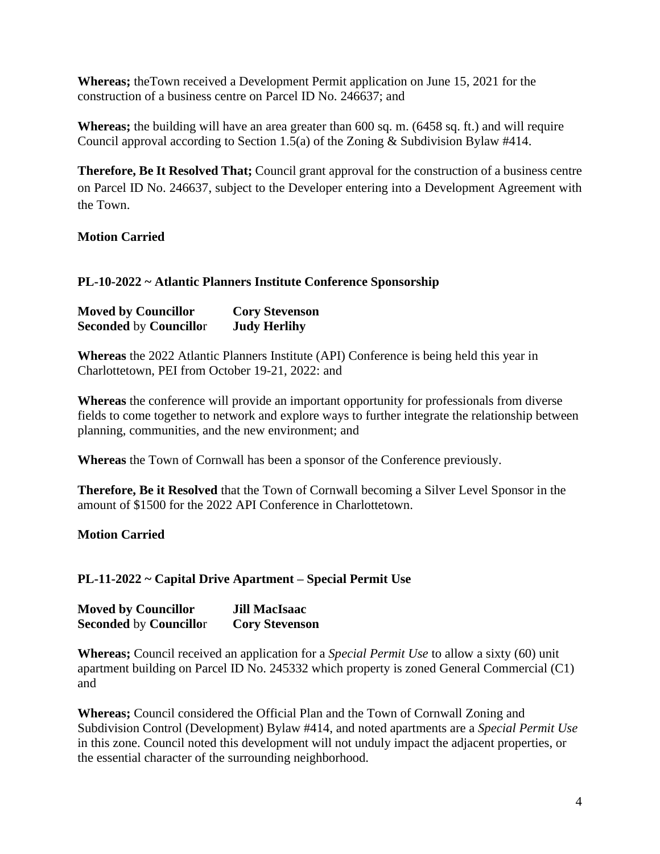**Whereas;** theTown received a Development Permit application on June 15, 2021 for the construction of a business centre on Parcel ID No. 246637; and

**Whereas;** the building will have an area greater than 600 sq. m. (6458 sq. ft.) and will require Council approval according to Section 1.5(a) of the Zoning & Subdivision Bylaw #414.

**Therefore, Be It Resolved That;** Council grant approval for the construction of a business centre on Parcel ID No. 246637, subject to the Developer entering into a Development Agreement with the Town.

### **Motion Carried**

#### **PL-10-2022 ~ Atlantic Planners Institute Conference Sponsorship**

| <b>Moved by Councillor</b>    | <b>Cory Stevenson</b> |
|-------------------------------|-----------------------|
| <b>Seconded by Councillor</b> | <b>Judy Herlihy</b>   |

**Whereas** the 2022 Atlantic Planners Institute (API) Conference is being held this year in Charlottetown, PEI from October 19-21, 2022: and

**Whereas** the conference will provide an important opportunity for professionals from diverse fields to come together to network and explore ways to further integrate the relationship between planning, communities, and the new environment; and

**Whereas** the Town of Cornwall has been a sponsor of the Conference previously.

**Therefore, Be it Resolved** that the Town of Cornwall becoming a Silver Level Sponsor in the amount of \$1500 for the 2022 API Conference in Charlottetown.

#### **Motion Carried**

#### **PL-11-2022 ~ Capital Drive Apartment – Special Permit Use**

| <b>Moved by Councillor</b>    | <b>Jill MacIsaac</b>  |
|-------------------------------|-----------------------|
| <b>Seconded by Councillor</b> | <b>Cory Stevenson</b> |

**Whereas;** Council received an application for a *Special Permit Use* to allow a sixty (60) unit apartment building on Parcel ID No. 245332 which property is zoned General Commercial (C1) and

**Whereas;** Council considered the Official Plan and the Town of Cornwall Zoning and Subdivision Control (Development) Bylaw #414, and noted apartments are a *Special Permit Use* in this zone. Council noted this development will not unduly impact the adjacent properties, or the essential character of the surrounding neighborhood.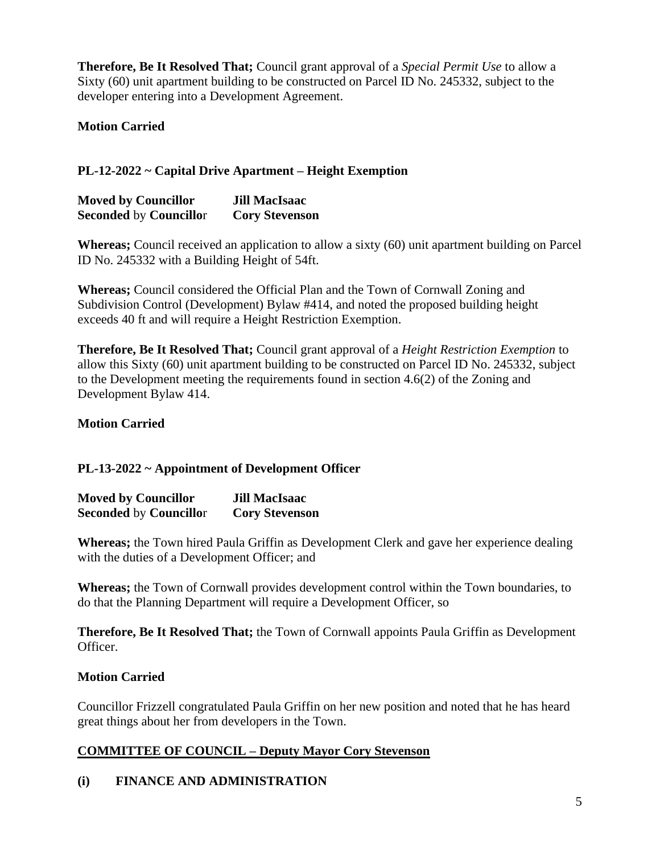**Therefore, Be It Resolved That;** Council grant approval of a *Special Permit Use* to allow a Sixty (60) unit apartment building to be constructed on Parcel ID No. 245332, subject to the developer entering into a Development Agreement.

**Motion Carried**

# **PL-12-2022 ~ Capital Drive Apartment – Height Exemption**

| <b>Moved by Councillor</b>    | <b>Jill MacIsaac</b>  |
|-------------------------------|-----------------------|
| <b>Seconded by Councillor</b> | <b>Cory Stevenson</b> |

**Whereas;** Council received an application to allow a sixty (60) unit apartment building on Parcel ID No. 245332 with a Building Height of 54ft.

**Whereas;** Council considered the Official Plan and the Town of Cornwall Zoning and Subdivision Control (Development) Bylaw #414, and noted the proposed building height exceeds 40 ft and will require a Height Restriction Exemption.

**Therefore, Be It Resolved That;** Council grant approval of a *Height Restriction Exemption* to allow this Sixty (60) unit apartment building to be constructed on Parcel ID No. 245332, subject to the Development meeting the requirements found in section 4.6(2) of the Zoning and Development Bylaw 414.

# **Motion Carried**

# **PL-13-2022 ~ Appointment of Development Officer**

| <b>Moved by Councillor</b>    | <b>Jill MacIsaac</b>  |
|-------------------------------|-----------------------|
| <b>Seconded by Councillor</b> | <b>Cory Stevenson</b> |

**Whereas;** the Town hired Paula Griffin as Development Clerk and gave her experience dealing with the duties of a Development Officer; and

**Whereas;** the Town of Cornwall provides development control within the Town boundaries, to do that the Planning Department will require a Development Officer, so

**Therefore, Be It Resolved That;** the Town of Cornwall appoints Paula Griffin as Development Officer.

# **Motion Carried**

Councillor Frizzell congratulated Paula Griffin on her new position and noted that he has heard great things about her from developers in the Town.

# **COMMITTEE OF COUNCIL – Deputy Mayor Cory Stevenson**

# **(i) FINANCE AND ADMINISTRATION**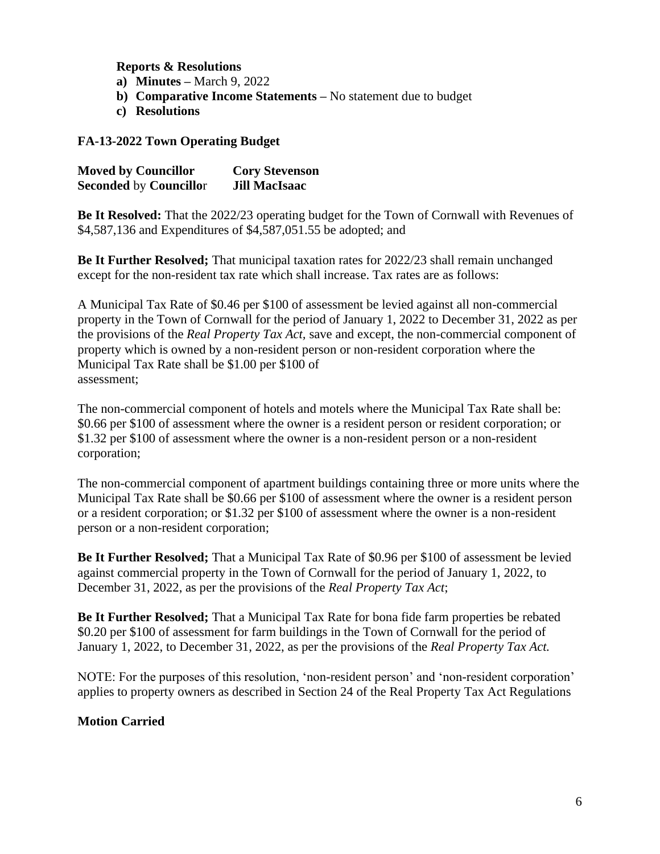**Reports & Resolutions**

**a) Minutes –** March 9, 2022

- **b) Comparative Income Statements –** No statement due to budget
- **c) Resolutions**

### **FA-13-2022 Town Operating Budget**

| <b>Moved by Councillor</b>    | <b>Cory Stevenson</b> |
|-------------------------------|-----------------------|
| <b>Seconded by Councillor</b> | <b>Jill MacIsaac</b>  |

**Be It Resolved:** That the 2022/23 operating budget for the Town of Cornwall with Revenues of \$4,587,136 and Expenditures of \$4,587,051.55 be adopted; and

**Be It Further Resolved;** That municipal taxation rates for 2022/23 shall remain unchanged except for the non-resident tax rate which shall increase. Tax rates are as follows:

A Municipal Tax Rate of \$0.46 per \$100 of assessment be levied against all non-commercial property in the Town of Cornwall for the period of January 1, 2022 to December 31, 2022 as per the provisions of the *Real Property Tax Act,* save and except, the non-commercial component of property which is owned by a non-resident person or non-resident corporation where the Municipal Tax Rate shall be \$1.00 per \$100 of assessment;

The non-commercial component of hotels and motels where the Municipal Tax Rate shall be: \$0.66 per \$100 of assessment where the owner is a resident person or resident corporation; or \$1.32 per \$100 of assessment where the owner is a non-resident person or a non-resident corporation;

The non-commercial component of apartment buildings containing three or more units where the Municipal Tax Rate shall be \$0.66 per \$100 of assessment where the owner is a resident person or a resident corporation; or \$1.32 per \$100 of assessment where the owner is a non-resident person or a non-resident corporation;

**Be It Further Resolved;** That a Municipal Tax Rate of \$0.96 per \$100 of assessment be levied against commercial property in the Town of Cornwall for the period of January 1, 2022, to December 31, 2022, as per the provisions of the *Real Property Tax Act*;

**Be It Further Resolved;** That a Municipal Tax Rate for bona fide farm properties be rebated \$0.20 per \$100 of assessment for farm buildings in the Town of Cornwall for the period of January 1, 2022, to December 31, 2022, as per the provisions of the *Real Property Tax Act.*

NOTE: For the purposes of this resolution, 'non-resident person' and 'non-resident corporation' applies to property owners as described in Section 24 of the Real Property Tax Act Regulations

# **Motion Carried**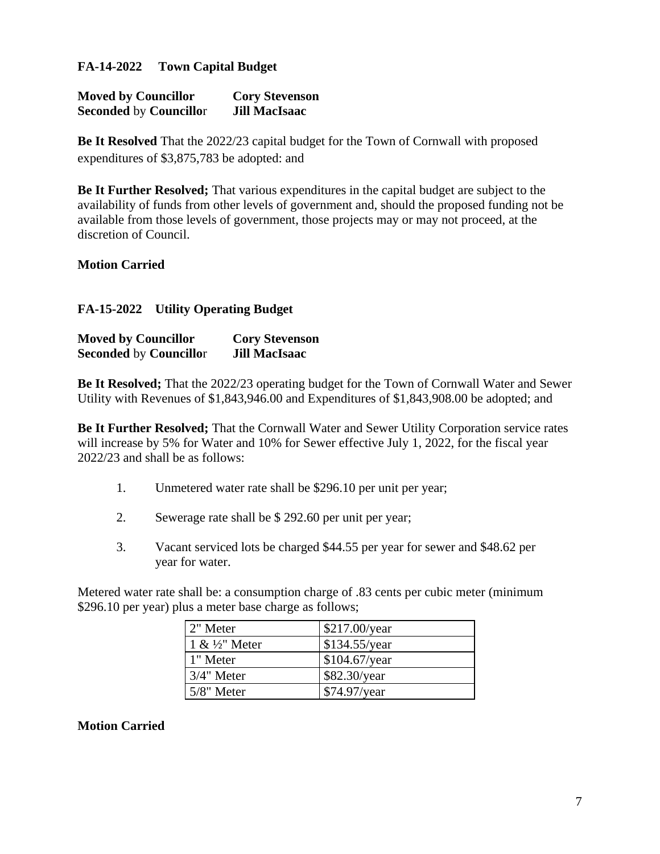### **FA-14-2022 Town Capital Budget**

| <b>Moved by Councillor</b>    | <b>Cory Stevenson</b> |
|-------------------------------|-----------------------|
| <b>Seconded by Councillor</b> | <b>Jill MacIsaac</b>  |

**Be It Resolved** That the 2022/23 capital budget for the Town of Cornwall with proposed expenditures of \$3,875,783 be adopted: and

**Be It Further Resolved;** That various expenditures in the capital budget are subject to the availability of funds from other levels of government and, should the proposed funding not be available from those levels of government, those projects may or may not proceed, at the discretion of Council.

### **Motion Carried**

### **FA-15-2022 Utility Operating Budget**

| <b>Moved by Councillor</b>    | <b>Cory Stevenson</b> |
|-------------------------------|-----------------------|
| <b>Seconded by Councillor</b> | <b>Jill MacIsaac</b>  |

**Be It Resolved;** That the 2022/23 operating budget for the Town of Cornwall Water and Sewer Utility with Revenues of \$1,843,946.00 and Expenditures of \$1,843,908.00 be adopted; and

**Be It Further Resolved;** That the Cornwall Water and Sewer Utility Corporation service rates will increase by 5% for Water and 10% for Sewer effective July 1, 2022, for the fiscal year 2022/23 and shall be as follows:

- 1. Unmetered water rate shall be \$296.10 per unit per year;
- 2. Sewerage rate shall be \$ 292.60 per unit per year;
- 3. Vacant serviced lots be charged \$44.55 per year for sewer and \$48.62 per year for water.

Metered water rate shall be: a consumption charge of .83 cents per cubic meter (minimum \$296.10 per year) plus a meter base charge as follows;

| 2" Meter         | $$217.00$ /year |
|------------------|-----------------|
| $1 \& ½$ " Meter | \$134.55/year   |
| 1" Meter         | \$104.67/year   |
| $3/4$ " Meter    | $$82.30$ /year  |
| $5/8$ " Meter    | \$74.97/year    |

#### **Motion Carried**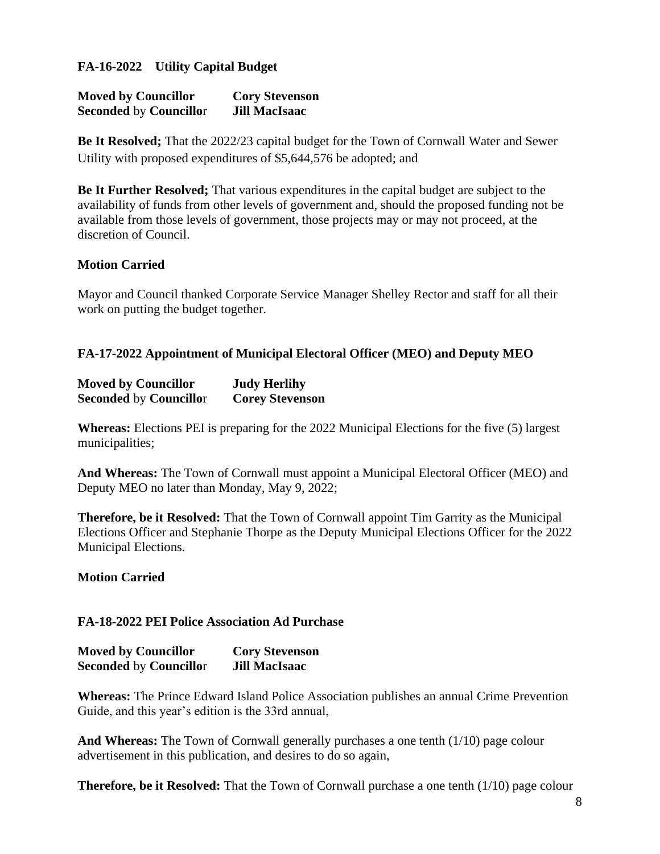### **FA-16-2022 Utility Capital Budget**

| <b>Moved by Councillor</b>    | <b>Cory Stevenson</b> |
|-------------------------------|-----------------------|
| <b>Seconded by Councillor</b> | <b>Jill MacIsaac</b>  |

**Be It Resolved;** That the 2022/23 capital budget for the Town of Cornwall Water and Sewer Utility with proposed expenditures of \$5,644,576 be adopted; and

**Be It Further Resolved;** That various expenditures in the capital budget are subject to the availability of funds from other levels of government and, should the proposed funding not be available from those levels of government, those projects may or may not proceed, at the discretion of Council.

#### **Motion Carried**

Mayor and Council thanked Corporate Service Manager Shelley Rector and staff for all their work on putting the budget together.

### **FA-17-2022 Appointment of Municipal Electoral Officer (MEO) and Deputy MEO**

| <b>Moved by Councillor</b>    | <b>Judy Herlihy</b>    |
|-------------------------------|------------------------|
| <b>Seconded by Councillor</b> | <b>Corey Stevenson</b> |

**Whereas:** Elections PEI is preparing for the 2022 Municipal Elections for the five (5) largest municipalities;

**And Whereas:** The Town of Cornwall must appoint a Municipal Electoral Officer (MEO) and Deputy MEO no later than Monday, May 9, 2022;

**Therefore, be it Resolved:** That the Town of Cornwall appoint Tim Garrity as the Municipal Elections Officer and Stephanie Thorpe as the Deputy Municipal Elections Officer for the 2022 Municipal Elections.

#### **Motion Carried**

#### **FA-18-2022 PEI Police Association Ad Purchase**

| <b>Moved by Councillor</b>    | <b>Cory Stevenson</b> |
|-------------------------------|-----------------------|
| <b>Seconded by Councillor</b> | <b>Jill MacIsaac</b>  |

**Whereas:** The Prince Edward Island Police Association publishes an annual Crime Prevention Guide, and this year's edition is the 33rd annual,

**And Whereas:** The Town of Cornwall generally purchases a one tenth (1/10) page colour advertisement in this publication, and desires to do so again,

**Therefore, be it Resolved:** That the Town of Cornwall purchase a one tenth (1/10) page colour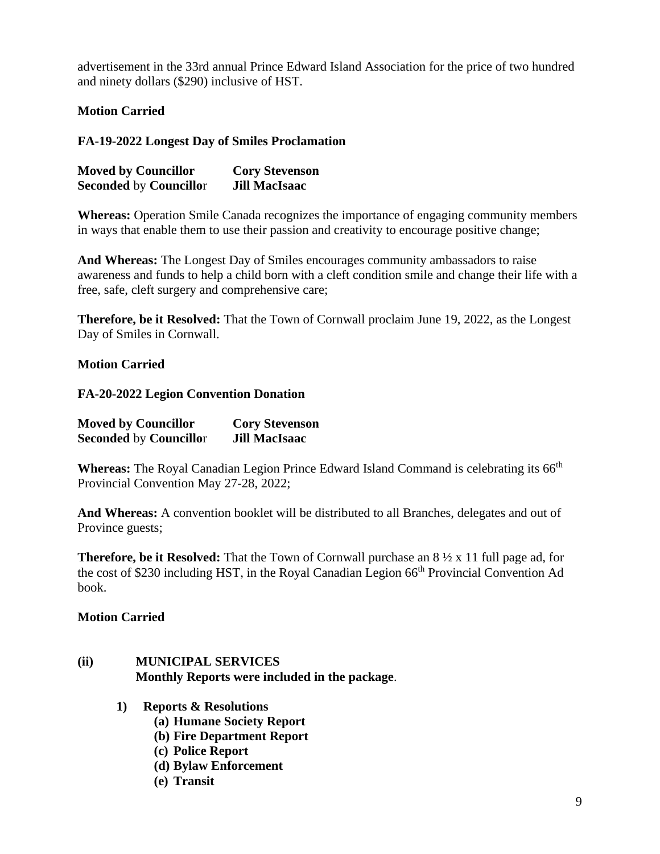advertisement in the 33rd annual Prince Edward Island Association for the price of two hundred and ninety dollars (\$290) inclusive of HST.

**Motion Carried**

**FA-19-2022 Longest Day of Smiles Proclamation**

| <b>Moved by Councillor</b>    | <b>Cory Stevenson</b> |
|-------------------------------|-----------------------|
| <b>Seconded by Councillor</b> | <b>Jill MacIsaac</b>  |

**Whereas:** Operation Smile Canada recognizes the importance of engaging community members in ways that enable them to use their passion and creativity to encourage positive change;

**And Whereas:** The Longest Day of Smiles encourages community ambassadors to raise awareness and funds to help a child born with a cleft condition smile and change their life with a free, safe, cleft surgery and comprehensive care;

**Therefore, be it Resolved:** That the Town of Cornwall proclaim June 19, 2022, as the Longest Day of Smiles in Cornwall.

### **Motion Carried**

**FA-20-2022 Legion Convention Donation**

| <b>Moved by Councillor</b>    | <b>Cory Stevenson</b> |
|-------------------------------|-----------------------|
| <b>Seconded by Councillor</b> | <b>Jill MacIsaac</b>  |

Whereas: The Royal Canadian Legion Prince Edward Island Command is celebrating its 66<sup>th</sup> Provincial Convention May 27-28, 2022;

**And Whereas:** A convention booklet will be distributed to all Branches, delegates and out of Province guests;

**Therefore, be it Resolved:** That the Town of Cornwall purchase an 8 ½ x 11 full page ad, for the cost of \$230 including HST, in the Royal Canadian Legion 66<sup>th</sup> Provincial Convention Ad book.

#### **Motion Carried**

# **(ii) MUNICIPAL SERVICES Monthly Reports were included in the package**.

- **1) Reports & Resolutions**
	- **(a) Humane Society Report**
	- **(b) Fire Department Report**
	- **(c) Police Report**
	- **(d) Bylaw Enforcement**
	- **(e) Transit**